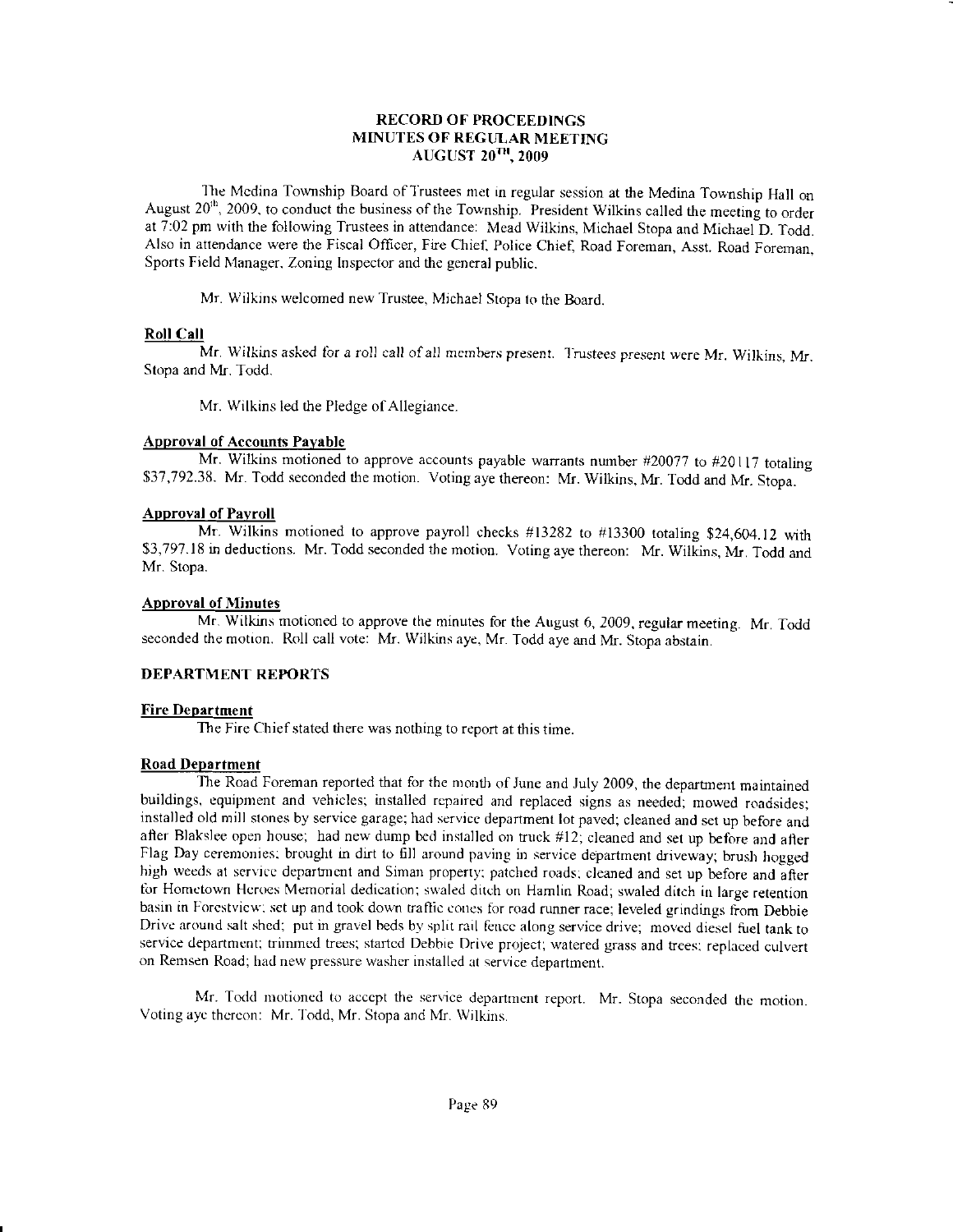# RECORD OF PROCEEDINGS MINUTES OF REGULAR MEETING AUGUST  $20$ <sup>TH</sup>, 2009

The Medina Township Board of Trustees met in regular session at the Medina Township Hall on August 20<sup>th</sup>, 2009, to conduct the business of the Township. President Wilkins called the meeting to order at 7:02 pm with the following Trustees in attendance: Mead Wilkins, Michael Stopa and Michael D. Todd. Also in attendance were the Fiscal Oflicer, Fire Chief, Police Chief, Road Foreman, Asst. Road Foreman. Sports Field Manager, Zoning Inspector and the general public.

Mr. Wilkins welcomed new Trustee, Michael Stopa to the Board.

# Roll Call

Mr. Wilkins asked for a roll call of all members present. Trustees present were Mr. Wilkins, Mr. Stopa and Mr. Todd.

Mr. Wilkins led the Pledge of Allegiance.

# **Approval of Accounts Payable**

Mr. Wilkins motioned to approve accounts payable warrants number #20077 to #20117 totaling \$37,792.38. Mr. Todd seconded the motion. Voting aye thereon: Mr. Wilkins, Mr. Todd and Mr. Stopa.

# **Approval of Payroll**

Mr. Wilkins motioned to approve payroll checks  $\#13282$  to  $\#13300$  totaling \$24,604.12 with \$3,797.18 in deductions. Mr. Todd seconded the motion. Voting aye thereon: Mr. Wilkins, Mr. Todd and Mr. Stopa.

# **Approval of Minutes**

Mr. Wilkins motioned to approve the minutes for the August 6, 2009, regular meeting. Mr. Todd seconded the motion. Roll call vote: Mr. Wilkins aye, Mr. Todd aye and Mr. Stopa abstain.

# DEPARTMENT REPORTS

### **Fire Department**

The Fire Chief stated there was nothing to report at this time.

### Road DeDartment

The Road Foreman reported that for the month of June and July 2009, the department maintained buildings, equipment and vehicles; installed repaired and replaced signs as needed; mowed roadsides: installed old nrill slones by service garage; had servicc department lot paved; cleaned and set up before and after Blakslee open house; had new dump bed installed on truck #12; cleaned and set up before and after Flag Day ceremonies: brought in dirt to fill around paving in service department driveway; brush hogged high weeds at service department and Siman property; patched roads; cleaned and set up before and after for Hometown Heroes Memorial dedication; swaled ditch on Hamlin Road; swaled ditch in large retention basin in Forestview: set up and took down traffic cones for road runner race; leveled grindings from Debbie Drivc around salt shed; put in gravel beds bv split rail lencc along service drive, movcd diesel fuel tank to service department; trimmed trees; started Debbie Drive project; watered grass and trees; replaced culvert on Remsen Road; had new pressure washer installed at service department.

Mr. Todd motioned to accept the service department report. Mr. Stopa seconded the motion. Voting aye thereon: Mr. Todd, Mr. Stopa and Mr. Wilkins.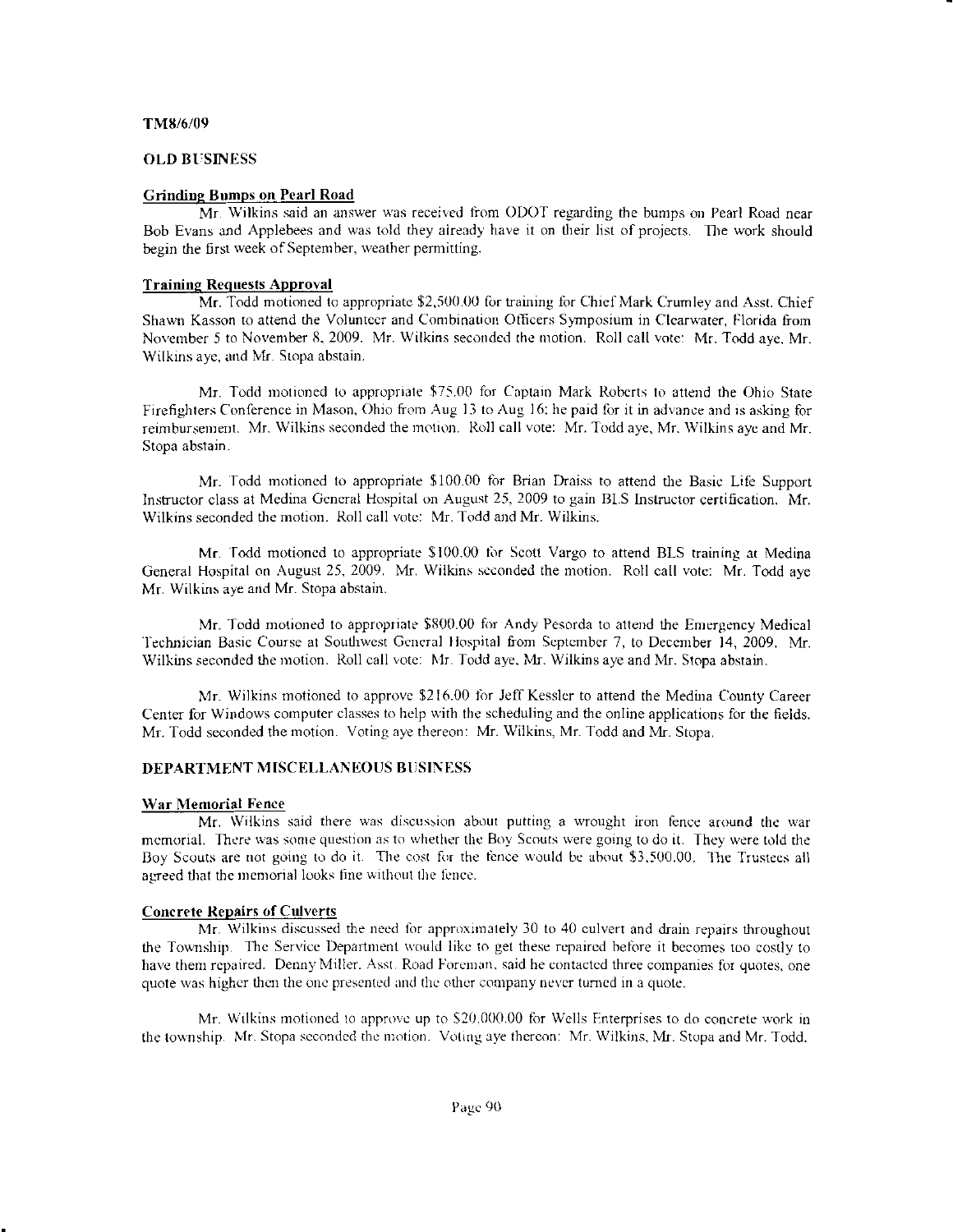#### TM8/6/09

### **OLD BUSINESS**

### **Grinding Bumps on Pearl Road**

Mr. Wilkins said an answer was received from ODOT regarding the bumps on Pearl Road near Bob Evans and Applebees and was told they already have it on their list of projects. The work should begin the first week of September, weather permitting.

### **Training Requests Approval**

Mr. Todd motioned to appropriate \$2,500.00 for training for Chief Mark Crumley and Asst. Chief Shawn Kasson to attend the Volunteer and Combination Officers Symposium in Clearwater, Florida from November 5 to November 8, 2009. Mr. Wilkins seconded the motion. Roll call vote: Mr. Todd ave. Mr. Wilkins aye, and Mr. Stopa abstain.

Mr. Todd motioned to appropriate \$75.00 for Captain Mark Roberts to attend the Ohio State Firefighters Conference in Mason, Ohio from Aug 13 to Aug 16; he paid for it in advance and is asking for reimbursement. Mr. Wilkins seconded the motion. Roll call vote: Mr. Todd aye, Mr. Wilkins aye and Mr. Stopa abstain.

Mr. Todd motioned to appropriate \$100.00 for Brian Draiss to attend the Basic Life Support Instructor class at Medina General Hospital on August 25, 2009 to gain BLS Instructor certification. Mr. Wilkins seconded the motion. Roll call vote: Mr. Todd and Mr. Wilkins.

Mr. Todd motioned to appropriate \$100.00 for Scott Vargo to attend BLS training at Medina General Hospital on August 25, 2009. Mr. Wilkins seconded the motion. Roll call vote: Mr. Todd aye Mr. Wilkins aye and Mr. Stopa abstain.

Mr. Todd motioned to appropriate \$800.00 for Andy Pesorda to attend the Emergency Medical Technician Basic Course at Southwest General Hospital from September 7, to December 14, 2009. Mr. Wilkins seconded the motion. Roll call vote: Mr. Todd aye, Mr. Wilkins aye and Mr. Stopa abstain.

Mr. Wilkins motioned to approve \$216.00 for Jeff Kessler to attend the Medina County Career Center for Windows computer classes to help with the scheduling and the online applications for the fields. Mr. Todd seconded the motion. Voting ave thereon: Mr. Wilkins, Mr. Todd and Mr. Stopa.

### **DEPARTMENT MISCELLANEOUS BUSINESS**

#### War Memorial Fence

Mr. Wilkins said there was discussion about putting a wrought iron fence around the war memorial. There was some question as to whether the Boy Scouts were going to do it. They were told the Boy Scouts are not going to do it. The cost for the fence would be about \$3,500.00. The Trustees all agreed that the memorial looks fine without the fence.

### **Concrete Repairs of Culverts**

Mr. Wilkins discussed the need for approximately 30 to 40 culvert and drain repairs throughout the Township. The Service Department would like to get these repaired before it becomes too costly to have them repaired. Denny Miller. Asst. Road Foreman, said he contacted three companies for quotes, one quote was higher then the one presented and the other company never turned in a quote.

Mr. Wilkins motioned to approve up to \$20,000.00 for Wells Enterprises to do concrete work in the township. Mr. Stopa seconded the motion. Voting aye thereon: Mr. Wilkins, Mr. Stopa and Mr. Todd.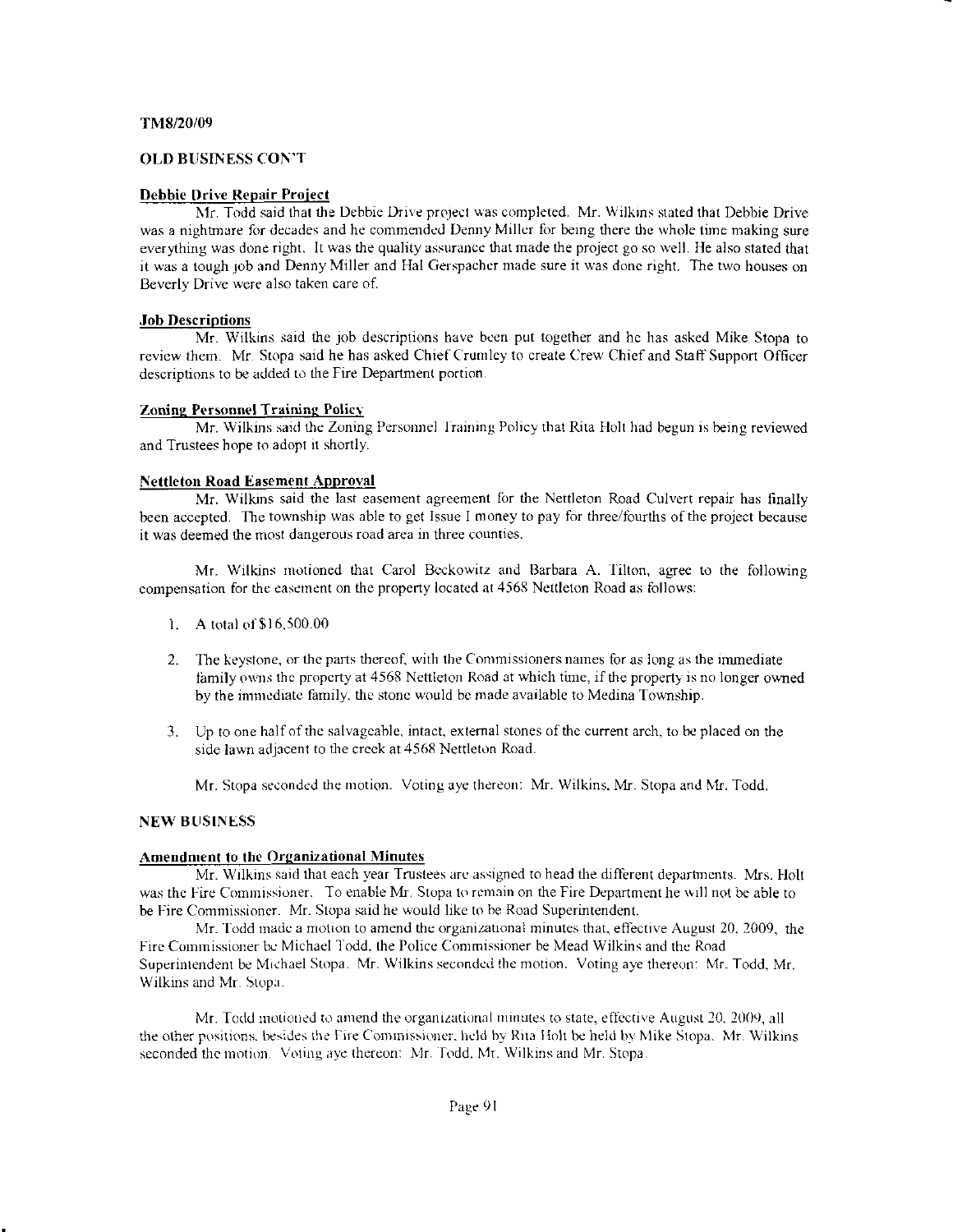### TM8/20/09

### OLD BUSINESS CON'T

#### Debbie Drive Repair Proiect

Mr. Todd said that the Debbie Drive project was completed. Mr. Wilkins stated that Debbie Drive was a nightmare for decades and he commended Denny Miller for being there the whole time making sure everything was done right. It was the quality assurance that made the project go so well. He also stated that it was a tough job and Denny Miller and Hal Gerspacher made sure it was done right. The two houses on Beverly Drive were also taken care of.

#### Job Descriptions

Mr. Wilkins said the job descriptions have been put together and he has asked Mike Stopa to review them. Mr. Stopa said he has asked Chief Crumley to create Crew Chief and Staff Support Officer descriptions to be added to the Fire Department portion.

#### Zoning Personnel Training Policy

Mr. Wilkins said the Zoning Personnel Iraining Policy thal Rita Holt had begun is being reviewed and Trustees hope to adopt it shortly.

#### Nettleton Road Easement Approval

Mr. Wilkins said the last easement agreement for the Nettleton Road Culvert repair has finally been accepted. The township was able to get Issue I money to pay for three/fourths of the project because it was deemed the most dangerous road area in three counties.

Mr. Wilkins motioned that Carol Beckowitz and Barbara A. Tilton, agree to the following compensation for the easement on the property located at 4568 Nettleton Road as follows:

- 1. A total of \$16,500.00
- 2. The keystone. or the parts thercof. with the Conrmissioners names for as long as the immediate family owns the property at 4568 Nettleton Road at which time, if the property is no longer owned by the immediate family, the stone would be made available to Medina Township.
- 3. Up to one half of the salvageable, intact, external stones of the current arch, to be placed on the side lawn adjacent to the creek at 4568 Nettleton Road.

Mr. Stopa seconded the motion. Voting aye thereon: Mr. Wilkins, Mr. Stopa and Mr. Todd.

#### **NEW BUSINESS**

#### Amendment to the Organizational Minutes

Mr. Wilkins said that each year Trustees are assigned to head the different departments. Mrs. Holt was the Fire Commissioner. To enable Mr. Stopa to remain on the Fire Department he will not be able to be Fire Commissioner. Mr. Stopa said he would like to be Road Superintendent.

Mr. Todd made a motion to amend the organizational minutes that, effective August 20, 2009, the Fire Commissioner be Michael Todd. the Police Commissioner be Mead Wilkins and the Road Superintendent be Michael Stopa. Mr. Wilkins seconded the motion. Voting aye thereon: Mr. Todd, Mr. Wilkins and Mr. Stopu.

Mr. Todd motioned to amend the organizational minutes to state, effective August 20, 2009, all the other positions, besides the Fire Commissioner, held by Rita Holt be held by Mike Stopa. Mr. Wilkins seconded the motion. Voting aye thereon: Mr. Todd. Mr. Wilkins and Mr. Stopa.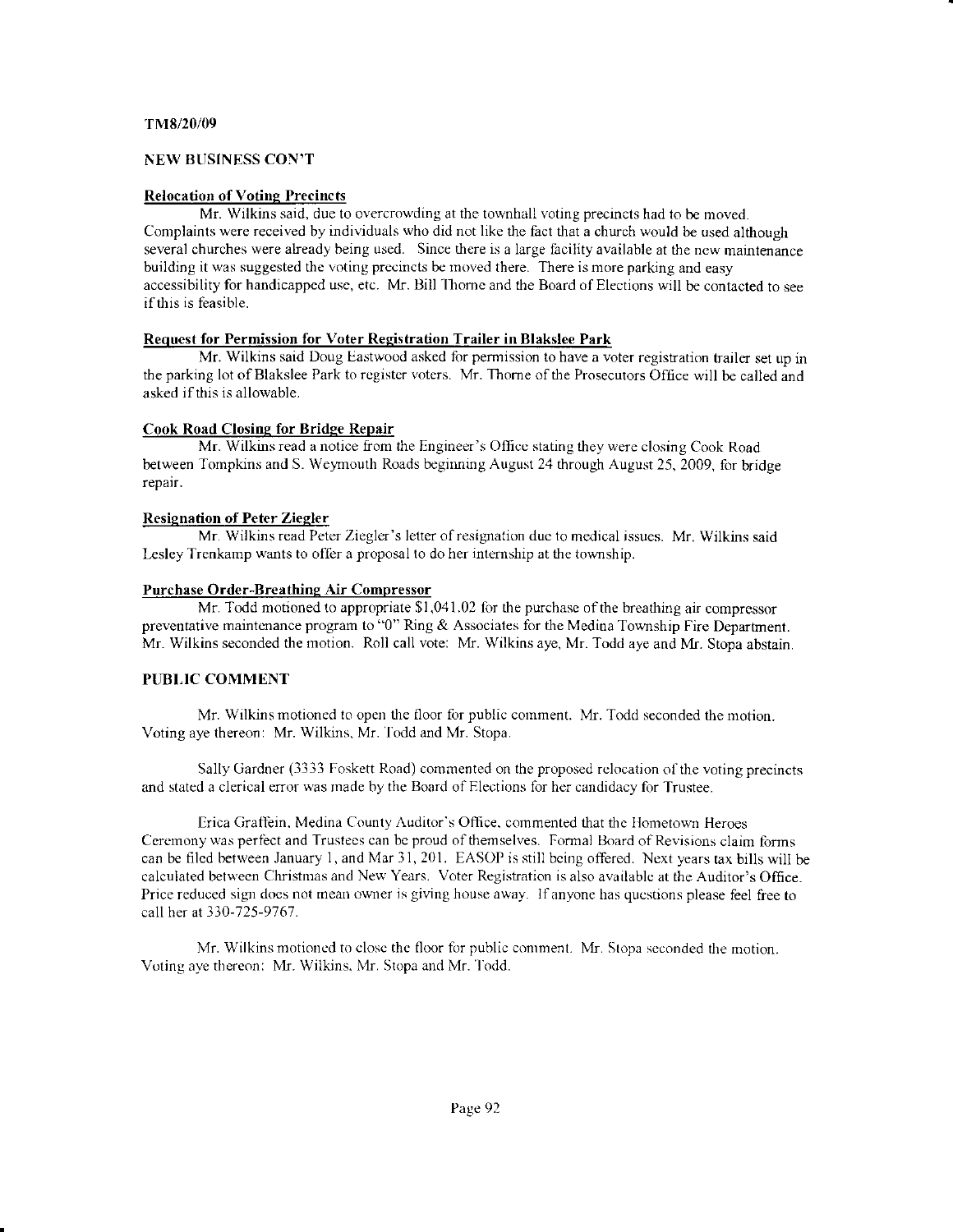### TM8/20/09

# NEW BUSINESS CON'T

# Relocation of Voting Precincts

Mr. Wilkins said, due to overcrowding at the townhall voting precincts had to be moved. Complaints were received by individuals who did not like the fact that a church would be used although several churches were already being used. Since there is a large facility available at the new maintenance building it was suggested the voting precincts be moved there. There is more parking and easy accessibility for handicapped use, etc. Mr. Bill Thorne and the Board of Elections will be contacted to see if this is feasible.

# Request for Permission for Voter Registration Trailer in Blakslee Park

Mr. Wilkins said Doug Eastwood asked for permission to have a voter registration trailer set up in the parking lot of Blakslee Park to register voters. Mr. Thorne of the Prosecutors Office will be called and asked if this is allowable.

# Cook Rosd Closine for Bridee Repair

Mr. Wilkins read a notice from the Engineer's Officc stating they were closing Cook Road between Tompkins and S. Weymouth Roads beginning August 24 through August 25, 2009, for bridge repair.

# Resienation of Peter Ziegler

Mr. Wilkins read Peter Ziegler's letter of resignation due to medical issues. Mr. Wilkins said Lesley Trenkamp wants to offer a proposal to do her internship at the township.

# Purchase Order-Breathing Air Compressor

Mr. Todd motioned to appropriate  $$1,041.02$  for the purchase of the breathing air compressor preventative maintenance program to "0" Ring & Associates for the Medina Township Fire Department. Mr. Wilkins seconded the motion. Roll call vote: Mr. Wilkins aye, Mr. Todd aye and Mr. Stopa abstain.

# PUBLIC COMMENT

Mr. Wilkins motioned to open dre floor for pubiic comment. Mr. Todd seconded the notion. Voting aye thereon: Mr. Wilkins. Mr.'lodd and Mr. Stopa.

Sally Gardner (3333 Foskett Road) commented on the proposed relocation of the voting precincts and stated a clerical error was made by the Board of Elections for her candidacy for Trustee.

Erica Graffein. Medina County Auditor's Office. commented that the Hometown Heroes Ceremony was perfect and Trustees can be proud of themselves. Formal Board of Revisions claim forms can be filed between January 1, and Mar 31, 201. EASOP is still being offered. Next years tax bills will be calculated between Christmas and New Years. Voter Registration is also available at the Auditor's Office. Price reduced sign does not mean owner is giving house away. If anyone has questions please feel free to call her at 330-725-9767.

Mr. Wilkins motioned to closc thc floor for public conrment. Mr. Stopa scconded the motion. Voting aye thereon: Mr. Wilkins, Mr. Stopa and Mr. Todd.